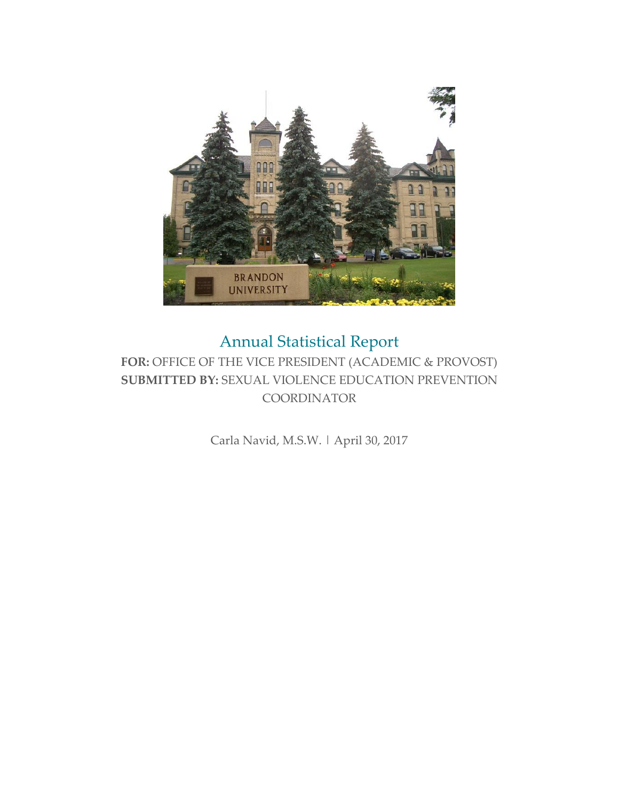

# Annual Statistical Report

### **FOR:** OFFICE OF THE VICE PRESIDENT (ACADEMIC & PROVOST) **SUBMITTED BY:** SEXUAL VIOLENCE EDUCATION PREVENTION **COORDINATOR**

Carla Navid, M.S.W. | April 30, 2017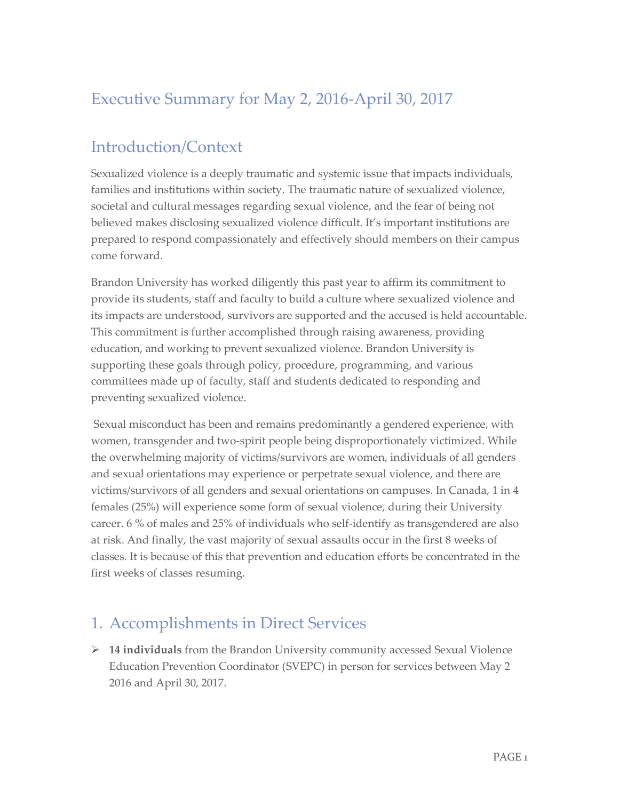## Executive Summary for May 2, 2016-April 30, 2017

## Introduction/Context

Sexualized violence is a deeply traumatic and systemic issue that impacts individuals, families and institutions within society. The traumatic nature of sexualized violence, societal and cultural messages regarding sexual violence, and the fear of being not believed makes disclosing sexualized violence difficult. It's important institutions are prepared to respond compassionately and effectively should members on their campus come forward.

Brandon University has worked diligently this past year to affirm its commitment to provide its students, staff and faculty to build a culture where sexualized violence and its impacts are understood, survivors are supported and the accused is held accountable. This commitment is further accomplished through raising awareness, providing education, and working to prevent sexualized violence. Brandon University is supporting these goals through policy, procedure, programming, and various committees made up of faculty, staff and students dedicated to responding and preventing sexualized violence.

Sexual misconduct has been and remains predominantly a gendered experience, with women, transgender and two-spirit people being disproportionately victimized. While the overwhelming majority of victims/survivors are women, individuals of all genders and sexual orientations may experience or perpetrate sexual violence, and there are victims/survivors of all genders and sexual orientations on campuses. In Canada, 1 in 4 females (25%) will experience some form of sexual violence, during their University career. 6 % of males and 25% of individuals who self-identify as transgendered are also at risk. And finally, the vast majority of sexual assaults occur in the first 8 weeks of classes. It is because of this that prevention and education efforts be concentrated in the first weeks of classes resuming.

## 1. Accomplishments in Direct Services

 **14 individuals** from the Brandon University community accessed Sexual Violence Education Prevention Coordinator (SVEPC) in person for services between May 2 2016 and April 30, 2017.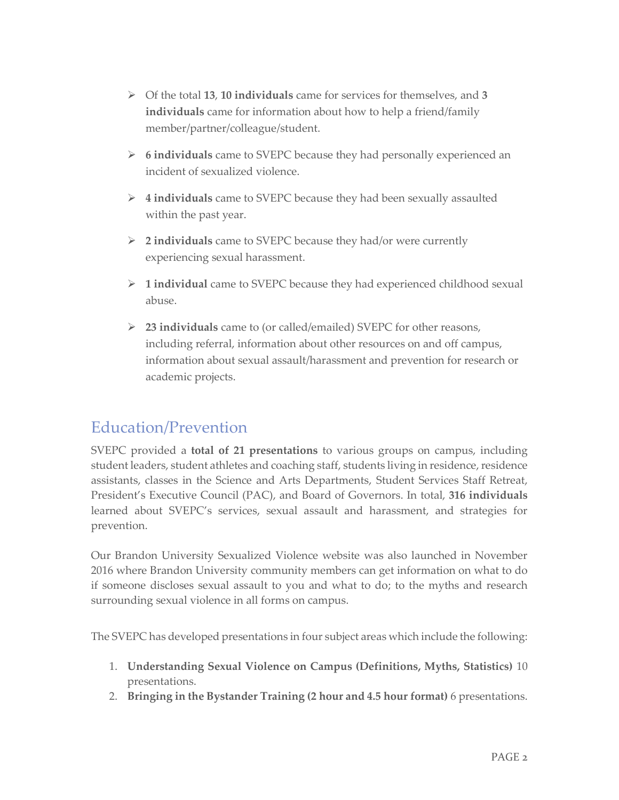- Of the total **13**, **10 individuals** came for services for themselves, and **3 individuals** came for information about how to help a friend/family member/partner/colleague/student.
- **6 individuals** came to SVEPC because they had personally experienced an incident of sexualized violence.
- **4 individuals** came to SVEPC because they had been sexually assaulted within the past year.
- **2 individuals** came to SVEPC because they had/or were currently experiencing sexual harassment.
- **1 individual** came to SVEPC because they had experienced childhood sexual abuse.
- **23 individuals** came to (or called/emailed) SVEPC for other reasons, including referral, information about other resources on and off campus, information about sexual assault/harassment and prevention for research or academic projects.

## Education/Prevention

SVEPC provided a **total of 21 presentations** to various groups on campus, including student leaders, student athletes and coaching staff, students living in residence, residence assistants, classes in the Science and Arts Departments, Student Services Staff Retreat, President's Executive Council (PAC), and Board of Governors. In total, **316 individuals** learned about SVEPC's services, sexual assault and harassment, and strategies for prevention.

Our Brandon University Sexualized Violence website was also launched in November 2016 where Brandon University community members can get information on what to do if someone discloses sexual assault to you and what to do; to the myths and research surrounding sexual violence in all forms on campus.

The SVEPC has developed presentations in four subject areas which include the following:

- 1. **Understanding Sexual Violence on Campus (Definitions, Myths, Statistics)** 10 presentations.
- 2. **Bringing in the Bystander Training (2 hour and 4.5 hour format)** 6 presentations.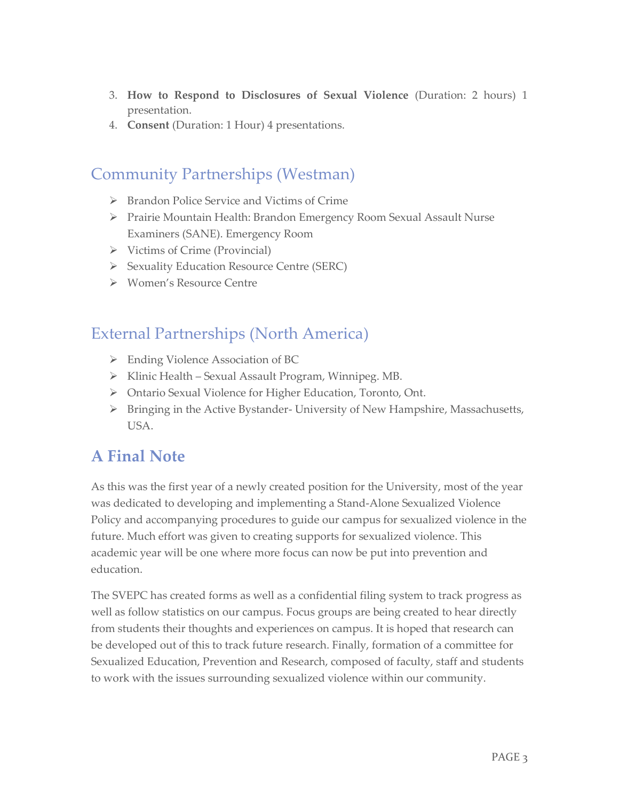- 3. **How to Respond to Disclosures of Sexual Violence** (Duration: 2 hours) 1 presentation.
- 4. **Consent** (Duration: 1 Hour) 4 presentations.

#### Community Partnerships (Westman)

- Brandon Police Service and Victims of Crime
- Prairie Mountain Health: Brandon Emergency Room Sexual Assault Nurse Examiners (SANE). Emergency Room
- $\triangleright$  Victims of Crime (Provincial)
- Sexuality Education Resource Centre (SERC)
- Women's Resource Centre

#### External Partnerships (North America)

- Ending Violence Association of BC
- $\triangleright$  Klinic Health Sexual Assault Program, Winnipeg. MB.
- Ontario Sexual Violence for Higher Education, Toronto, Ont.
- $\triangleright$  Bringing in the Active Bystander- University of New Hampshire, Massachusetts, USA.

### **A Final Note**

As this was the first year of a newly created position for the University, most of the year was dedicated to developing and implementing a Stand-Alone Sexualized Violence Policy and accompanying procedures to guide our campus for sexualized violence in the future. Much effort was given to creating supports for sexualized violence. This academic year will be one where more focus can now be put into prevention and education.

The SVEPC has created forms as well as a confidential filing system to track progress as well as follow statistics on our campus. Focus groups are being created to hear directly from students their thoughts and experiences on campus. It is hoped that research can be developed out of this to track future research. Finally, formation of a committee for Sexualized Education, Prevention and Research, composed of faculty, staff and students to work with the issues surrounding sexualized violence within our community.